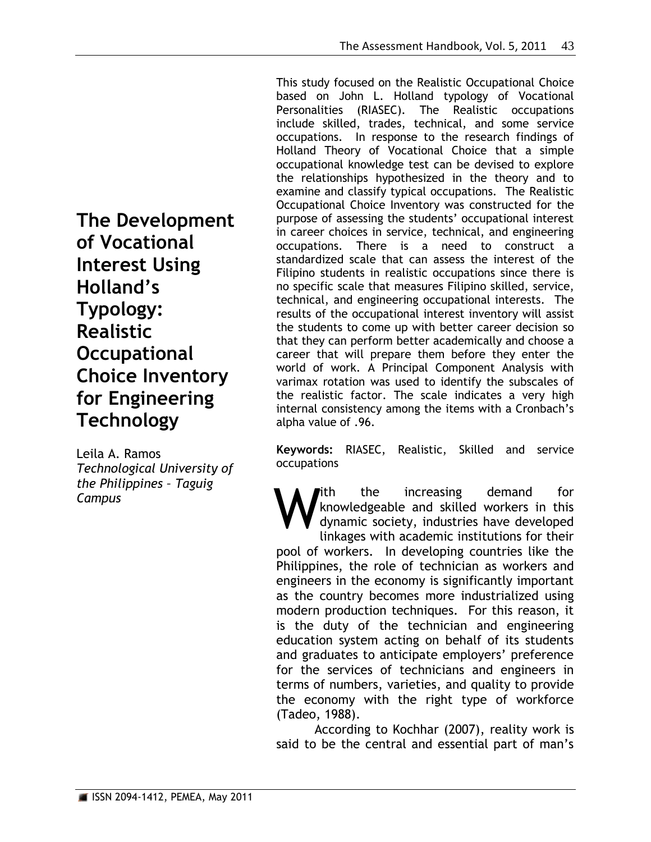**The Development of Vocational Interest Using Holland's Typology: Realistic Occupational Choice Inventory for Engineering Technology**

Leila A. Ramos *Technological University of the Philippines – Taguig Campus*

This study focused on the Realistic Occupational Choice based on John L. Holland typology of Vocational Personalities (RIASEC). The Realistic occupations include skilled, trades, technical, and some service occupations. In response to the research findings of Holland Theory of Vocational Choice that a simple occupational knowledge test can be devised to explore the relationships hypothesized in the theory and to examine and classify typical occupations. The Realistic Occupational Choice Inventory was constructed for the purpose of assessing the students' occupational interest in career choices in service, technical, and engineering occupations. There is a need to construct a standardized scale that can assess the interest of the Filipino students in realistic occupations since there is no specific scale that measures Filipino skilled, service, technical, and engineering occupational interests. The results of the occupational interest inventory will assist the students to come up with better career decision so that they can perform better academically and choose a career that will prepare them before they enter the world of work. A Principal Component Analysis with varimax rotation was used to identify the subscales of the realistic factor. The scale indicates a very high internal consistency among the items with a Cronbach's alpha value of .96.

**Keywords:** RIASEC, Realistic, Skilled and service occupations

ith the increasing demand for knowledgeable and skilled workers in this dynamic society, industries have developed linkages with academic institutions for their pool of workers. In developing countries like the Philippines, the role of technician as workers and engineers in the economy is significantly important as the country becomes more industrialized using modern production techniques. For this reason, it is the duty of the technician and engineering education system acting on behalf of its students and graduates to anticipate employers' preference for the services of technicians and engineers in terms of numbers, varieties, and quality to provide the economy with the right type of workforce (Tadeo, 1988). W

According to Kochhar (2007), reality work is said to be the central and essential part of man's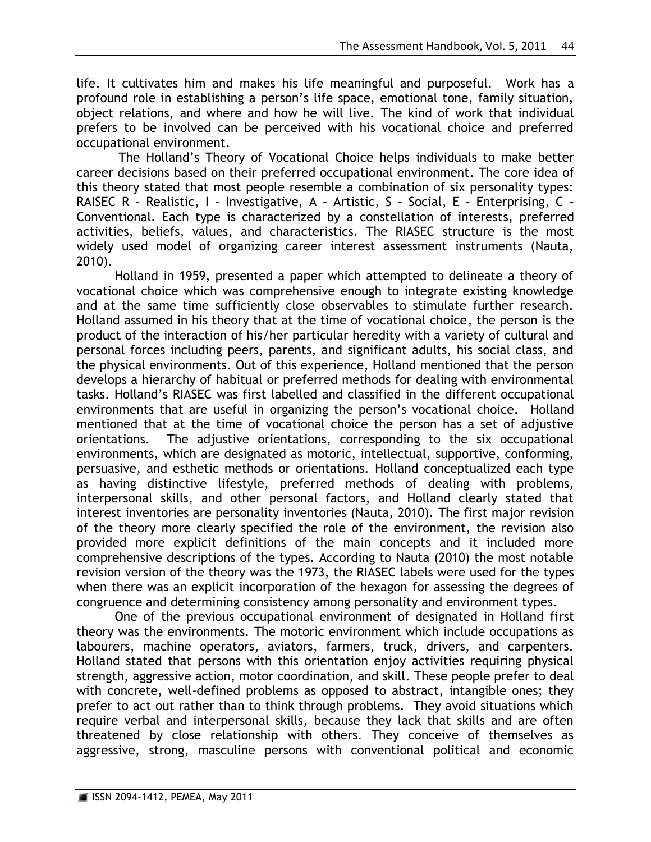life. It cultivates him and makes his life meaningful and purposeful. Work has a profound role in establishing a person's life space, emotional tone, family situation, object relations, and where and how he will live. The kind of work that individual prefers to be involved can be perceived with his vocational choice and preferred occupational environment.

The Holland's Theory of Vocational Choice helps individuals to make better career decisions based on their preferred occupational environment. The core idea of this theory stated that most people resemble a combination of six personality types: RAISEC R – Realistic, I – Investigative, A – Artistic, S – Social, E – Enterprising, C – Conventional. Each type is characterized by a constellation of interests, preferred activities, beliefs, values, and characteristics. The RIASEC structure is the most widely used model of organizing career interest assessment instruments (Nauta, 2010).

Holland in 1959, presented a paper which attempted to delineate a theory of vocational choice which was comprehensive enough to integrate existing knowledge and at the same time sufficiently close observables to stimulate further research. Holland assumed in his theory that at the time of vocational choice, the person is the product of the interaction of his/her particular heredity with a variety of cultural and personal forces including peers, parents, and significant adults, his social class, and the physical environments. Out of this experience, Holland mentioned that the person develops a hierarchy of habitual or preferred methods for dealing with environmental tasks. Holland's RIASEC was first labelled and classified in the different occupational environments that are useful in organizing the person's vocational choice. Holland mentioned that at the time of vocational choice the person has a set of adjustive orientations. The adjustive orientations, corresponding to the six occupational environments, which are designated as motoric, intellectual, supportive, conforming, persuasive, and esthetic methods or orientations. Holland conceptualized each type as having distinctive lifestyle, preferred methods of dealing with problems, interpersonal skills, and other personal factors, and Holland clearly stated that interest inventories are personality inventories (Nauta, 2010). The first major revision of the theory more clearly specified the role of the environment, the revision also provided more explicit definitions of the main concepts and it included more comprehensive descriptions of the types. According to Nauta (2010) the most notable revision version of the theory was the 1973, the RIASEC labels were used for the types when there was an explicit incorporation of the hexagon for assessing the degrees of congruence and determining consistency among personality and environment types.

One of the previous occupational environment of designated in Holland first theory was the environments. The motoric environment which include occupations as labourers, machine operators, aviators, farmers, truck, drivers, and carpenters. Holland stated that persons with this orientation enjoy activities requiring physical strength, aggressive action, motor coordination, and skill. These people prefer to deal with concrete, well-defined problems as opposed to abstract, intangible ones; they prefer to act out rather than to think through problems. They avoid situations which require verbal and interpersonal skills, because they lack that skills and are often threatened by close relationship with others. They conceive of themselves as aggressive, strong, masculine persons with conventional political and economic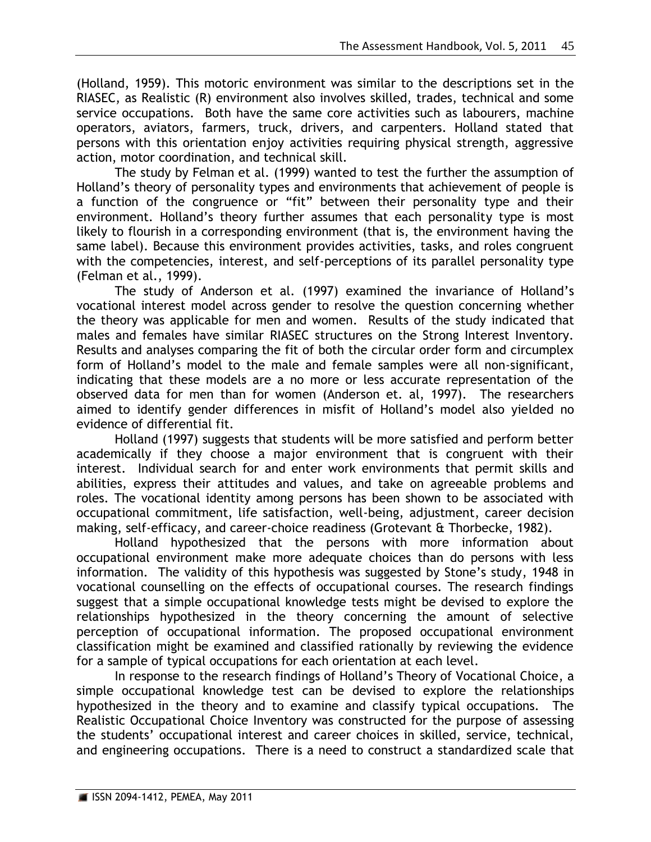(Holland, 1959). This motoric environment was similar to the descriptions set in the RIASEC, as Realistic (R) environment also involves skilled, trades, technical and some service occupations. Both have the same core activities such as labourers, machine operators, aviators, farmers, truck, drivers, and carpenters. Holland stated that persons with this orientation enjoy activities requiring physical strength, aggressive action, motor coordination, and technical skill.

The study by Felman et al. (1999) wanted to test the further the assumption of Holland's theory of personality types and environments that achievement of people is a function of the congruence or "fit" between their personality type and their environment. Holland's theory further assumes that each personality type is most likely to flourish in a corresponding environment (that is, the environment having the same label). Because this environment provides activities, tasks, and roles congruent with the competencies, interest, and self-perceptions of its parallel personality type (Felman et al., 1999).

The study of Anderson et al. (1997) examined the invariance of Holland's vocational interest model across gender to resolve the question concerning whether the theory was applicable for men and women. Results of the study indicated that males and females have similar RIASEC structures on the Strong Interest Inventory. Results and analyses comparing the fit of both the circular order form and circumplex form of Holland's model to the male and female samples were all non-significant, indicating that these models are a no more or less accurate representation of the observed data for men than for women (Anderson et. al, 1997). The researchers aimed to identify gender differences in misfit of Holland's model also yielded no evidence of differential fit.

Holland (1997) suggests that students will be more satisfied and perform better academically if they choose a major environment that is congruent with their interest. Individual search for and enter work environments that permit skills and abilities, express their attitudes and values, and take on agreeable problems and roles. The vocational identity among persons has been shown to be associated with occupational commitment, life satisfaction, well-being, adjustment, career decision making, self-efficacy, and career-choice readiness (Grotevant & Thorbecke, 1982).

Holland hypothesized that the persons with more information about occupational environment make more adequate choices than do persons with less information. The validity of this hypothesis was suggested by Stone's study, 1948 in vocational counselling on the effects of occupational courses. The research findings suggest that a simple occupational knowledge tests might be devised to explore the relationships hypothesized in the theory concerning the amount of selective perception of occupational information. The proposed occupational environment classification might be examined and classified rationally by reviewing the evidence for a sample of typical occupations for each orientation at each level.

In response to the research findings of Holland's Theory of Vocational Choice, a simple occupational knowledge test can be devised to explore the relationships hypothesized in the theory and to examine and classify typical occupations. The Realistic Occupational Choice Inventory was constructed for the purpose of assessing the students' occupational interest and career choices in skilled, service, technical, and engineering occupations. There is a need to construct a standardized scale that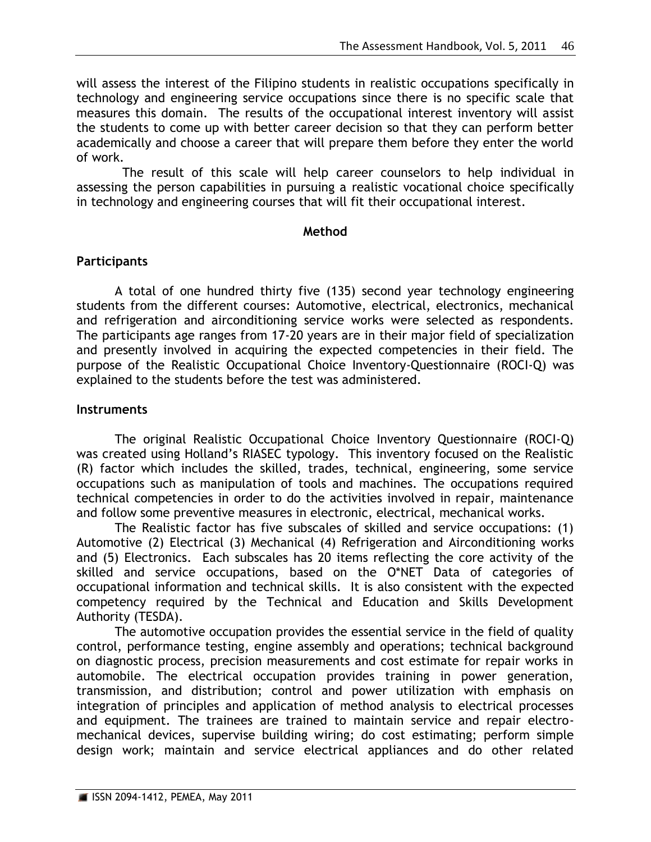will assess the interest of the Filipino students in realistic occupations specifically in technology and engineering service occupations since there is no specific scale that measures this domain. The results of the occupational interest inventory will assist the students to come up with better career decision so that they can perform better academically and choose a career that will prepare them before they enter the world of work.

 The result of this scale will help career counselors to help individual in assessing the person capabilities in pursuing a realistic vocational choice specifically in technology and engineering courses that will fit their occupational interest.

### **Method**

# **Participants**

A total of one hundred thirty five (135) second year technology engineering students from the different courses: Automotive, electrical, electronics, mechanical and refrigeration and airconditioning service works were selected as respondents. The participants age ranges from 17-20 years are in their major field of specialization and presently involved in acquiring the expected competencies in their field. The purpose of the Realistic Occupational Choice Inventory-Questionnaire (ROCI-Q) was explained to the students before the test was administered.

# **Instruments**

The original Realistic Occupational Choice Inventory Questionnaire (ROCI-Q) was created using Holland's RIASEC typology. This inventory focused on the Realistic (R) factor which includes the skilled, trades, technical, engineering, some service occupations such as manipulation of tools and machines. The occupations required technical competencies in order to do the activities involved in repair, maintenance and follow some preventive measures in electronic, electrical, mechanical works.

The Realistic factor has five subscales of skilled and service occupations: (1) Automotive (2) Electrical (3) Mechanical (4) Refrigeration and Airconditioning works and (5) Electronics. Each subscales has 20 items reflecting the core activity of the skilled and service occupations, based on the O\*NET Data of categories of occupational information and technical skills. It is also consistent with the expected competency required by the Technical and Education and Skills Development Authority (TESDA).

The automotive occupation provides the essential service in the field of quality control, performance testing, engine assembly and operations; technical background on diagnostic process, precision measurements and cost estimate for repair works in automobile. The electrical occupation provides training in power generation, transmission, and distribution; control and power utilization with emphasis on integration of principles and application of method analysis to electrical processes and equipment. The trainees are trained to maintain service and repair electromechanical devices, supervise building wiring; do cost estimating; perform simple design work; maintain and service electrical appliances and do other related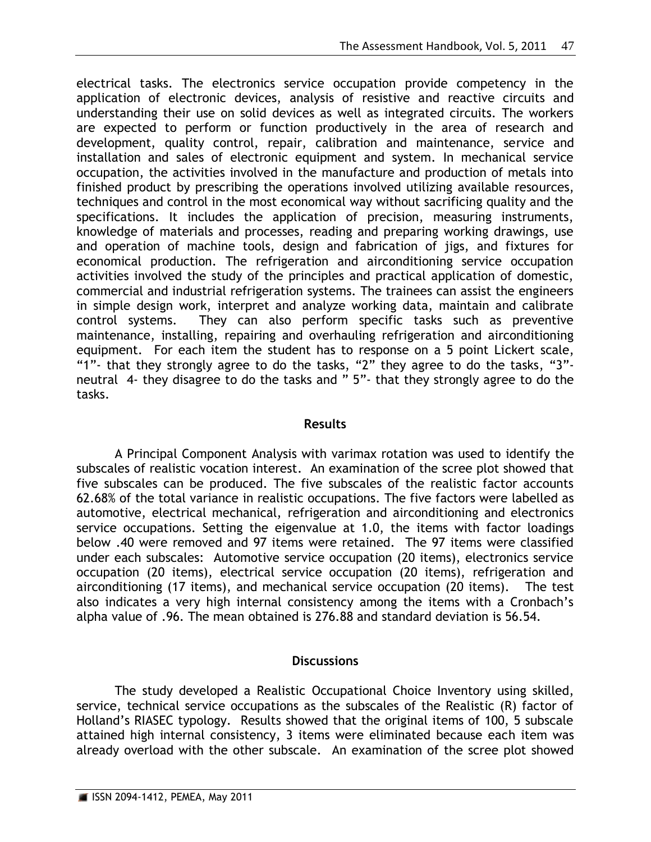electrical tasks. The electronics service occupation provide competency in the application of electronic devices, analysis of resistive and reactive circuits and understanding their use on solid devices as well as integrated circuits. The workers are expected to perform or function productively in the area of research and development, quality control, repair, calibration and maintenance, service and installation and sales of electronic equipment and system. In mechanical service occupation, the activities involved in the manufacture and production of metals into finished product by prescribing the operations involved utilizing available resources, techniques and control in the most economical way without sacrificing quality and the specifications. It includes the application of precision, measuring instruments, knowledge of materials and processes, reading and preparing working drawings, use and operation of machine tools, design and fabrication of jigs, and fixtures for economical production. The refrigeration and airconditioning service occupation activities involved the study of the principles and practical application of domestic, commercial and industrial refrigeration systems. The trainees can assist the engineers in simple design work, interpret and analyze working data, maintain and calibrate control systems. They can also perform specific tasks such as preventive maintenance, installing, repairing and overhauling refrigeration and airconditioning equipment. For each item the student has to response on a 5 point Lickert scale, "1"- that they strongly agree to do the tasks, "2" they agree to do the tasks, "3" neutral 4- they disagree to do the tasks and " 5"- that they strongly agree to do the tasks.

#### **Results**

A Principal Component Analysis with varimax rotation was used to identify the subscales of realistic vocation interest. An examination of the scree plot showed that five subscales can be produced. The five subscales of the realistic factor accounts 62.68% of the total variance in realistic occupations. The five factors were labelled as automotive, electrical mechanical, refrigeration and airconditioning and electronics service occupations. Setting the eigenvalue at 1.0, the items with factor loadings below .40 were removed and 97 items were retained. The 97 items were classified under each subscales: Automotive service occupation (20 items), electronics service occupation (20 items), electrical service occupation (20 items), refrigeration and airconditioning (17 items), and mechanical service occupation (20 items). The test also indicates a very high internal consistency among the items with a Cronbach's alpha value of .96. The mean obtained is 276.88 and standard deviation is 56.54.

## **Discussions**

The study developed a Realistic Occupational Choice Inventory using skilled, service, technical service occupations as the subscales of the Realistic (R) factor of Holland's RIASEC typology. Results showed that the original items of 100, 5 subscale attained high internal consistency, 3 items were eliminated because each item was already overload with the other subscale. An examination of the scree plot showed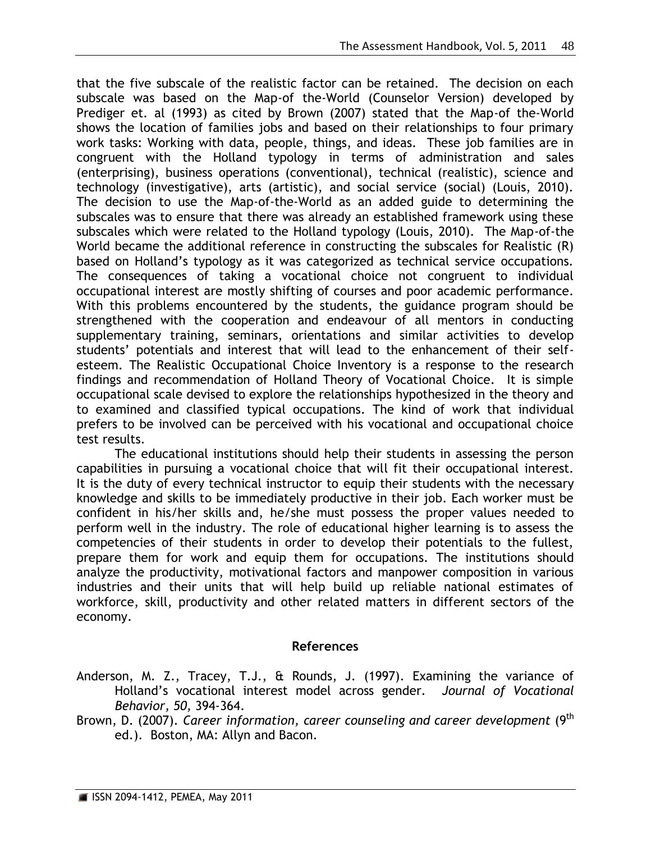that the five subscale of the realistic factor can be retained. The decision on each subscale was based on the Map-of the-World (Counselor Version) developed by Prediger et. al (1993) as cited by Brown (2007) stated that the Map-of the-World shows the location of families jobs and based on their relationships to four primary work tasks: Working with data, people, things, and ideas. These job families are in congruent with the Holland typology in terms of administration and sales (enterprising), business operations (conventional), technical (realistic), science and technology (investigative), arts (artistic), and social service (social) (Louis, 2010). The decision to use the Map-of-the-World as an added guide to determining the subscales was to ensure that there was already an established framework using these subscales which were related to the Holland typology (Louis, 2010). The Map-of-the World became the additional reference in constructing the subscales for Realistic (R) based on Holland's typology as it was categorized as technical service occupations. The consequences of taking a vocational choice not congruent to individual occupational interest are mostly shifting of courses and poor academic performance. With this problems encountered by the students, the guidance program should be strengthened with the cooperation and endeavour of all mentors in conducting supplementary training, seminars, orientations and similar activities to develop students' potentials and interest that will lead to the enhancement of their selfesteem. The Realistic Occupational Choice Inventory is a response to the research findings and recommendation of Holland Theory of Vocational Choice. It is simple occupational scale devised to explore the relationships hypothesized in the theory and to examined and classified typical occupations. The kind of work that individual prefers to be involved can be perceived with his vocational and occupational choice test results.

The educational institutions should help their students in assessing the person capabilities in pursuing a vocational choice that will fit their occupational interest. It is the duty of every technical instructor to equip their students with the necessary knowledge and skills to be immediately productive in their job. Each worker must be confident in his/her skills and, he/she must possess the proper values needed to perform well in the industry. The role of educational higher learning is to assess the competencies of their students in order to develop their potentials to the fullest, prepare them for work and equip them for occupations. The institutions should analyze the productivity, motivational factors and manpower composition in various industries and their units that will help build up reliable national estimates of workforce, skill, productivity and other related matters in different sectors of the economy.

## **References**

- Anderson, M. Z., Tracey, T.J., & Rounds, J. (1997). Examining the variance of Holland's vocational interest model across gender. *Journal of Vocational Behavior, 50,* 394-364.
- Brown, D. (2007). *Career information, career counseling and career development* (9th ed.). Boston, MA: Allyn and Bacon.